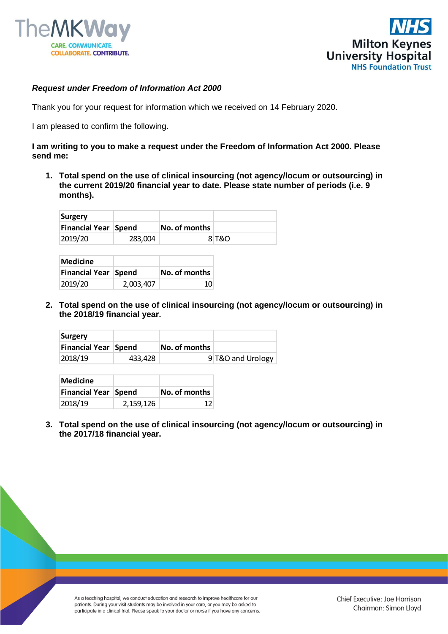



## *Request under Freedom of Information Act 2000*

Thank you for your request for information which we received on 14 February 2020.

I am pleased to confirm the following.

## **I am writing to you to make a request under the Freedom of Information Act 2000. Please send me:**

**1. Total spend on the use of clinical insourcing (not agency/locum or outsourcing) in the current 2019/20 financial year to date. Please state number of periods (i.e. 9 months).**

| Surgery              |         |               |       |
|----------------------|---------|---------------|-------|
| Financial Year Spend |         | No. of months |       |
| 2019/20              | 283,004 |               | 8 T&O |

| Medicine             |           |               |
|----------------------|-----------|---------------|
| Financial Year Spend |           | No. of months |
| 2019/20              | 2,003,407 | 10            |

**2. Total spend on the use of clinical insourcing (not agency/locum or outsourcing) in the 2018/19 financial year.**

| Surgery                     |         |               |                   |
|-----------------------------|---------|---------------|-------------------|
| <b>Financial Year Spend</b> |         | No. of months |                   |
| 2018/19                     | 433,428 |               | 9 T&O and Urology |

| Medicine                    |           |               |
|-----------------------------|-----------|---------------|
| <b>Financial Year Spend</b> |           | No. of months |
| 2018/19                     | 2,159,126 | 12            |

**3. Total spend on the use of clinical insourcing (not agency/locum or outsourcing) in the 2017/18 financial year.**

As a teaching hospital, we conduct education and research to improve healthcare for our patients. During your visit students may be involved in your care, or you may be asked to participate in a clinical trial. Please speak to your doctor or nurse if you have any concerns.